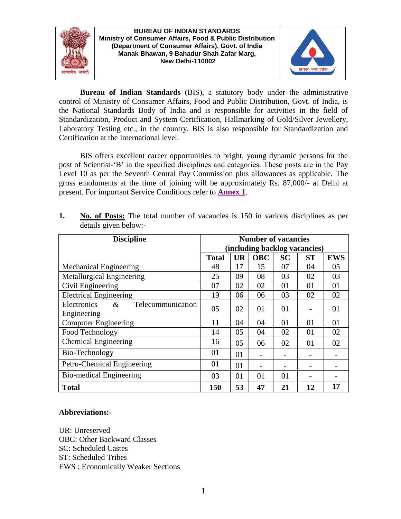

**BUREAU OF INDIAN STANDARDS Ministry of Consumer Affairs, Food & Public Distribution (Department of Consumer Affairs), Govt. of India Manak Bhawan, 9 Bahadur Shah Zafar Marg, New Delhi-110002**



**Bureau of Indian Standards** (BIS), a statutory body under the administrative control of Ministry of Consumer Affairs, Food and Public Distribution, Govt. of India, is the National Standards Body of India and is responsible for activities in the field of Standardization, Product and System Certification, Hallmarking of Gold/Silver Jewellery, Laboratory Testing etc., in the country. BIS is also responsible for Standardization and Certification at the International level.

BIS offers excellent career opportunities to bright, young dynamic persons for the post of Scientist-'B' in the specified disciplines and categories. These posts are in the Pay Level 10 as per the Seventh Central Pay Commission plus allowances as applicable. The gross emoluments at the time of joining will be approximately Rs. 87,000/- at Delhi at present. For important Service Conditions refer to **[Annex 1](#page-5-0)**.

| <b>Discipline</b>                        | <b>Number of vacancies</b>    |           |            |           |           |            |
|------------------------------------------|-------------------------------|-----------|------------|-----------|-----------|------------|
|                                          | (including backlog vacancies) |           |            |           |           |            |
|                                          | <b>Total</b>                  | <b>UR</b> | <b>OBC</b> | <b>SC</b> | <b>ST</b> | <b>EWS</b> |
| Mechanical Engineering                   | 48                            | 17        | 15         | 07        | 04        | 05         |
| Metallurgical Engineering                | 25                            | 09        | 08         | 03        | 02        | 03         |
| Civil Engineering                        | 07                            | 02        | 02         | 01        | 01        | 01         |
| <b>Electrical Engineering</b>            | 19                            | 06        | 06         | 03        | 02        | 02         |
| Telecommunication<br>$\&$<br>Electronics | 05                            | 02        | 01         | 01        |           | 01         |
| Engineering                              |                               |           |            |           |           |            |
| <b>Computer Engineering</b>              | 11                            | 04        | 04         | 01        | 01        | 01         |
| Food Technology                          | 14                            | 05        | 04         | 02        | 01        | 02         |
| <b>Chemical Engineering</b>              | 16                            | 05        | 06         | 02        | 01        | 02         |
| Bio-Technology                           | 01                            | 01        |            |           |           |            |
| Petro-Chemical Engineering               | 01                            | 01        |            |           |           |            |
| Bio-medical Engineering                  | 03                            | 01        | 01         | 01        |           |            |
| <b>Total</b>                             | 150                           | 53        | 47         | 21        | 12        | 17         |

**1. No. of Posts:** The total number of vacancies is 150 in various disciplines as per details given below:-

# **Abbreviations:-**

UR: Unreserved OBC: Other Backward Classes SC: Scheduled Castes ST: Scheduled Tribes EWS : Economically Weaker Sections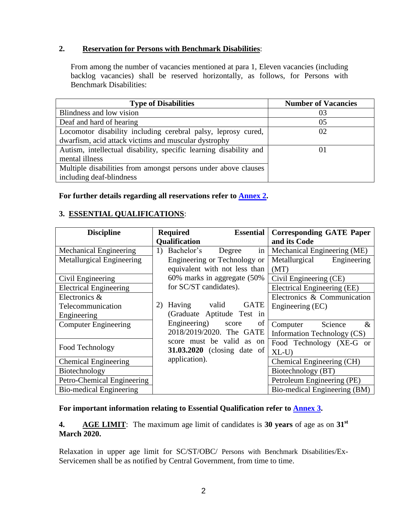# **2. Reservation for Persons with Benchmark Disabilities**:

From among the number of vacancies mentioned at para 1, Eleven vacancies (including backlog vacancies) shall be reserved horizontally, as follows, for Persons with Benchmark Disabilities:

| <b>Type of Disabilities</b>                                       | <b>Number of Vacancies</b> |
|-------------------------------------------------------------------|----------------------------|
| Blindness and low vision                                          | 03                         |
| Deaf and hard of hearing                                          | 05                         |
| Locomotor disability including cerebral palsy, leprosy cured,     | 02                         |
| dwarfism, acid attack victims and muscular dystrophy              |                            |
| Autism, intellectual disability, specific learning disability and | 01                         |
| mental illness                                                    |                            |
| Multiple disabilities from amongst persons under above clauses    |                            |
| including deaf-blindness                                          |                            |

## **For further details regarding all reservations refer to [Annex 2.](#page-6-0)**

# **3. ESSENTIAL QUALIFICATIONS**:

| <b>Discipline</b>                | Required<br><b>Essential</b>       | <b>Corresponding GATE Paper</b> |  |  |  |
|----------------------------------|------------------------------------|---------------------------------|--|--|--|
|                                  | Qualification                      | and its Code                    |  |  |  |
| Mechanical Engineering           | Bachelor's<br>1)<br>Degree<br>in   | Mechanical Engineering (ME)     |  |  |  |
| <b>Metallurgical Engineering</b> | Engineering or Technology or       | Metallurgical<br>Engineering    |  |  |  |
|                                  | equivalent with not less than      | (MT)                            |  |  |  |
| Civil Engineering                | 60% marks in aggregate (50%        | Civil Engineering (CE)          |  |  |  |
| <b>Electrical Engineering</b>    | for SC/ST candidates).             | Electrical Engineering (EE)     |  |  |  |
| Electronics &                    |                                    | Electronics & Communication     |  |  |  |
| Telecommunication                | Having valid<br><b>GATE</b><br>2)  | Engineering (EC)                |  |  |  |
| Engineering                      | (Graduate Aptitude Test in         |                                 |  |  |  |
| <b>Computer Engineering</b>      | Engineering)<br>of<br>score        | Science<br>Computer<br>$\&$     |  |  |  |
|                                  | 2018/2019/2020. The GATE           | Information Technology (CS)     |  |  |  |
| Food Technology                  | score must be valid as on          | Food Technology (XE-G or        |  |  |  |
|                                  | <b>31.03.2020</b> (closing date of | $XL-U$                          |  |  |  |
| <b>Chemical Engineering</b>      | application).                      | Chemical Engineering (CH)       |  |  |  |
| Biotechnology                    |                                    | Biotechnology (BT)              |  |  |  |
| Petro-Chemical Engineering       |                                    | Petroleum Engineering (PE)      |  |  |  |
| <b>Bio-medical Engineering</b>   |                                    | Bio-medical Engineering (BM)    |  |  |  |

# **For important information relating to Essential Qualification refer to [Annex](#page-8-0) 3.**

**4. AGE LIMIT**: The maximum age limit of candidates is **30 years** of age as on **31st March 2020.**

Relaxation in upper age limit for SC/ST/OBC/ Persons with Benchmark Disabilities/Ex-Servicemen shall be as notified by Central Government, from time to time.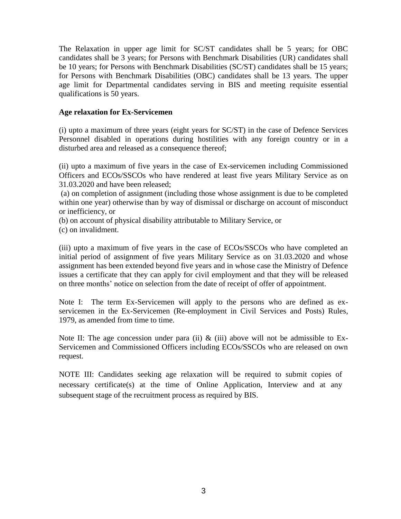The Relaxation in upper age limit for SC/ST candidates shall be 5 years; for OBC candidates shall be 3 years; for Persons with Benchmark Disabilities (UR) candidates shall be 10 years; for Persons with Benchmark Disabilities (SC/ST) candidates shall be 15 years; for Persons with Benchmark Disabilities (OBC) candidates shall be 13 years. The upper age limit for Departmental candidates serving in BIS and meeting requisite essential qualifications is 50 years.

### **Age relaxation for Ex-Servicemen**

(i) upto a maximum of three years (eight years for SC/ST) in the case of Defence Services Personnel disabled in operations during hostilities with any foreign country or in a disturbed area and released as a consequence thereof;

(ii) upto a maximum of five years in the case of Ex-servicemen including Commissioned Officers and ECOs/SSCOs who have rendered at least five years Military Service as on 31.03.2020 and have been released;

(a) on completion of assignment (including those whose assignment is due to be completed within one year) otherwise than by way of dismissal or discharge on account of misconduct or inefficiency, or

(b) on account of physical disability attributable to Military Service, or

(c) on invalidment.

(iii) upto a maximum of five years in the case of ECOs/SSCOs who have completed an initial period of assignment of five years Military Service as on 31.03.2020 and whose assignment has been extended beyond five years and in whose case the Ministry of Defence issues a certificate that they can apply for civil employment and that they will be released on three months' notice on selection from the date of receipt of offer of appointment.

Note I: The term Ex-Servicemen will apply to the persons who are defined as exservicemen in the Ex-Servicemen (Re-employment in Civil Services and Posts) Rules, 1979, as amended from time to time.

Note II: The age concession under para (ii)  $\&$  (iii) above will not be admissible to Ex-Servicemen and Commissioned Officers including ECOs/SSCOs who are released on own request.

NOTE III: Candidates seeking age relaxation will be required to submit copies of necessary certificate(s) at the time of Online Application, Interview and at any subsequent stage of the recruitment process as required by BIS.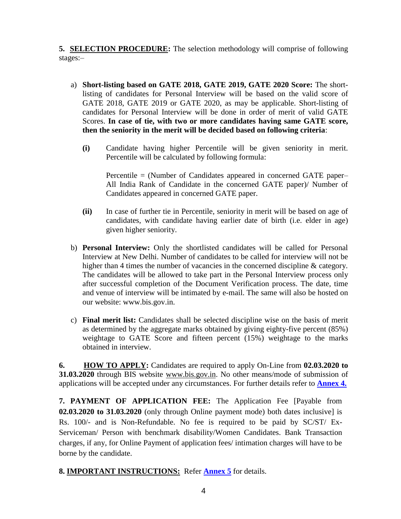**5. SELECTION PROCEDURE:** The selection methodology will comprise of following stages:–

- a) **Short-listing based on GATE 2018, GATE 2019, GATE 2020 Score:** The shortlisting of candidates for Personal Interview will be based on the valid score of GATE 2018, GATE 2019 or GATE 2020, as may be applicable. Short-listing of candidates for Personal Interview will be done in order of merit of valid GATE Scores. **In case of tie, with two or more candidates having same GATE score, then the seniority in the merit will be decided based on following criteria**:
	- **(i)** Candidate having higher Percentile will be given seniority in merit. Percentile will be calculated by following formula:

Percentile = (Number of Candidates appeared in concerned GATE paper– All India Rank of Candidate in the concerned GATE paper)/ Number of Candidates appeared in concerned GATE paper.

- **(ii)** In case of further tie in Percentile, seniority in merit will be based on age of candidates, with candidate having earlier date of birth (i.e. elder in age) given higher seniority.
- b) **Personal Interview:** Only the shortlisted candidates will be called for Personal Interview at New Delhi. Number of candidates to be called for interview will not be higher than 4 times the number of vacancies in the concerned discipline & category. The candidates will be allowed to take part in the Personal Interview process only after successful completion of the Document Verification process. The date, time and venue of interview will be intimated by e-mail. The same will also be hosted on our website: www.bis.gov.in.
- c) **Final merit list:** Candidates shall be selected discipline wise on the basis of merit as determined by the aggregate marks obtained by giving eighty-five percent (85%) weightage to GATE Score and fifteen percent (15%) weightage to the marks obtained in interview.

**6. HOW TO APPLY:** Candidates are required to apply On-Line from **02.03.2020 to 31.03.2020** through BIS website [www.bis.gov.in.](http://www.bis.gov.in/) No other means/mode of submission of applications will be accepted under any circumstances. For further details refer to **[Annex 4.](#page-11-0)**

**7. PAYMENT OF APPLICATION FEE:** The Application Fee [Payable from **02.03.2020 to 31.03.2020** (only through Online payment mode) both dates inclusive] is Rs. 100/- and is Non-Refundable. No fee is required to be paid by SC/ST/ Ex-Serviceman/ Person with benchmark disability/Women Candidates. Bank Transaction charges, if any, for Online Payment of application fees/ intimation charges will have to be borne by the candidate.

**8. IMPORTANT INSTRUCTIONS:** Refer **[Annex 5](#page-15-0)** for details.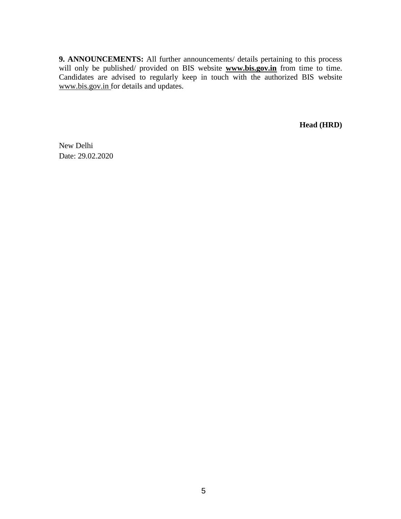**9. ANNOUNCEMENTS:** All further announcements/ details pertaining to this process will only be published/ provided on BIS website **[www.bis.gov.in](http://www.bis.gov.in/)** from time to time. Candidates are advised to regularly keep in touch with the authorized BIS website [www.bis.gov.in](http://www.bis.gov.in/) for details and updates.

**Head (HRD)**

New Delhi Date: 29.02.2020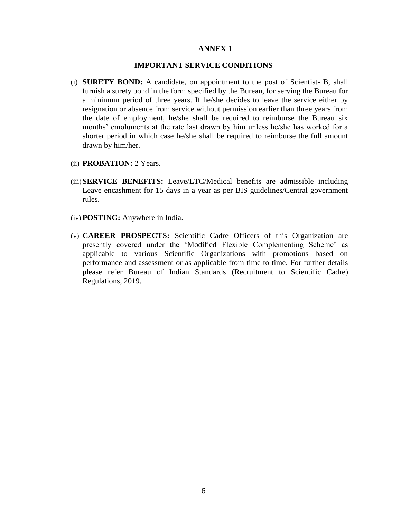#### **ANNEX 1**

### **IMPORTANT SERVICE CONDITIONS**

- <span id="page-5-0"></span>(i) **SURETY BOND:** A candidate, on appointment to the post of Scientist- B, shall furnish a surety bond in the form specified by the Bureau, for serving the Bureau for a minimum period of three years. If he/she decides to leave the service either by resignation or absence from service without permission earlier than three years from the date of employment, he/she shall be required to reimburse the Bureau six months' emoluments at the rate last drawn by him unless he/she has worked for a shorter period in which case he/she shall be required to reimburse the full amount drawn by him/her.
- (ii) **PROBATION:** 2 Years.
- (iii)**SERVICE BENEFITS:** Leave/LTC/Medical benefits are admissible including Leave encashment for 15 days in a year as per BIS guidelines/Central government rules.
- (iv) **POSTING:** Anywhere in India.
- (v) **CAREER PROSPECTS:** Scientific Cadre Officers of this Organization are presently covered under the 'Modified Flexible Complementing Scheme' as applicable to various Scientific Organizations with promotions based on performance and assessment or as applicable from time to time. For further details please refer Bureau of Indian Standards (Recruitment to Scientific Cadre) Regulations, 2019.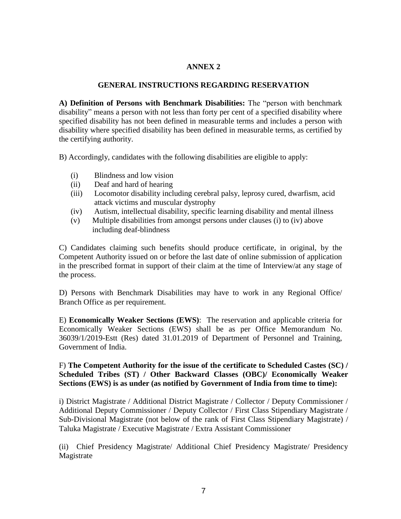## **ANNEX 2**

## **GENERAL INSTRUCTIONS REGARDING RESERVATION**

<span id="page-6-0"></span>**A) Definition of Persons with Benchmark Disabilities:** The "person with benchmark disability" means a person with not less than forty per cent of a specified disability where specified disability has not been defined in measurable terms and includes a person with disability where specified disability has been defined in measurable terms, as certified by the certifying authority.

B) Accordingly, candidates with the following disabilities are eligible to apply:

- (i) Blindness and low vision
- (ii) Deaf and hard of hearing
- (iii) Locomotor disability including cerebral palsy, leprosy cured, dwarfism, acid attack victims and muscular dystrophy
- (iv) Autism, intellectual disability, specific learning disability and mental illness
- (v) Multiple disabilities from amongst persons under clauses (i) to (iv) above including deaf-blindness

C) Candidates claiming such benefits should produce certificate, in original, by the Competent Authority issued on or before the last date of online submission of application in the prescribed format in support of their claim at the time of Interview/at any stage of the process.

D) Persons with Benchmark Disabilities may have to work in any Regional Office/ Branch Office as per requirement.

E) **Economically Weaker Sections (EWS)**: The reservation and applicable criteria for Economically Weaker Sections (EWS) shall be as per Office Memorandum No. 36039/1/2019-Estt (Res) dated 31.01.2019 of Department of Personnel and Training, Government of India.

# F) **The Competent Authority for the issue of the certificate to Scheduled Castes (SC) / Scheduled Tribes (ST) / Other Backward Classes (OBC)/ Economically Weaker Sections (EWS) is as under (as notified by Government of India from time to time):**

i) District Magistrate / Additional District Magistrate / Collector / Deputy Commissioner / Additional Deputy Commissioner / Deputy Collector / First Class Stipendiary Magistrate / Sub-Divisional Magistrate (not below of the rank of First Class Stipendiary Magistrate) / Taluka Magistrate / Executive Magistrate / Extra Assistant Commissioner

(ii) Chief Presidency Magistrate/ Additional Chief Presidency Magistrate/ Presidency Magistrate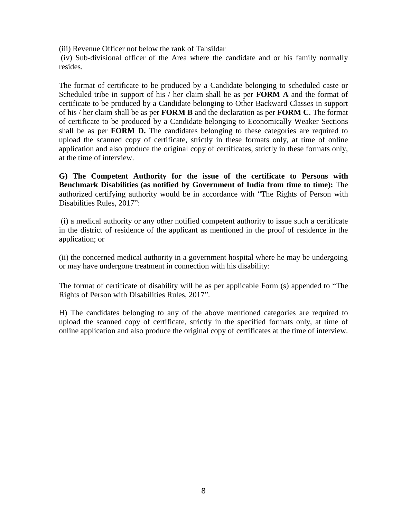(iii) Revenue Officer not below the rank of Tahsildar

(iv) Sub-divisional officer of the Area where the candidate and or his family normally resides.

The format of certificate to be produced by a Candidate belonging to scheduled caste or Scheduled tribe in support of his / her claim shall be as per **FORM A** and the format of certificate to be produced by a Candidate belonging to Other Backward Classes in support of his / her claim shall be as per **FORM B** and the declaration as per **FORM C**. The format of certificate to be produced by a Candidate belonging to Economically Weaker Sections shall be as per **FORM D.** The candidates belonging to these categories are required to upload the scanned copy of certificate, strictly in these formats only, at time of online application and also produce the original copy of certificates, strictly in these formats only, at the time of interview.

**G) The Competent Authority for the issue of the certificate to Persons with Benchmark Disabilities (as notified by Government of India from time to time):** The authorized certifying authority would be in accordance with "The Rights of Person with Disabilities Rules, 2017":

(i) a medical authority or any other notified competent authority to issue such a certificate in the district of residence of the applicant as mentioned in the proof of residence in the application; or

(ii) the concerned medical authority in a government hospital where he may be undergoing or may have undergone treatment in connection with his disability:

The format of certificate of disability will be as per applicable Form (s) appended to "The Rights of Person with Disabilities Rules, 2017".

H) The candidates belonging to any of the above mentioned categories are required to upload the scanned copy of certificate, strictly in the specified formats only, at time of online application and also produce the original copy of certificates at the time of interview.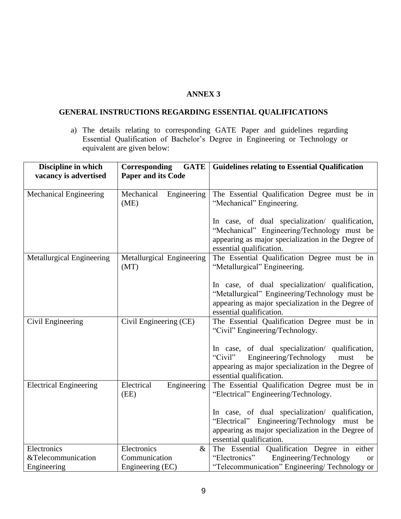## **ANNEX 3**

# <span id="page-8-0"></span>**GENERAL INSTRUCTIONS REGARDING ESSENTIAL QUALIFICATIONS**

a) The details relating to corresponding GATE Paper and guidelines regarding Essential Qualification of Bachelor's Degree in Engineering or Technology or equivalent are given below:

| Discipline in which              | <b>Corresponding</b><br><b>GATE</b> | <b>Guidelines relating to Essential Qualification</b>                                                                                                                                |
|----------------------------------|-------------------------------------|--------------------------------------------------------------------------------------------------------------------------------------------------------------------------------------|
| vacancy is advertised            | <b>Paper and its Code</b>           |                                                                                                                                                                                      |
| <b>Mechanical Engineering</b>    | Mechanical<br>Engineering<br>(ME)   | The Essential Qualification Degree must be in<br>"Mechanical" Engineering.                                                                                                           |
|                                  |                                     | In case, of dual specialization/ qualification,<br>"Mechanical" Engineering/Technology must be<br>appearing as major specialization in the Degree of<br>essential qualification.     |
| <b>Metallurgical Engineering</b> | Metallurgical Engineering<br>(MT)   | The Essential Qualification Degree must be in<br>"Metallurgical" Engineering.                                                                                                        |
|                                  |                                     | In case, of dual specialization/ qualification,<br>"Metallurgical" Engineering/Technology must be<br>appearing as major specialization in the Degree of<br>essential qualification.  |
| Civil Engineering                | Civil Engineering (CE)              | The Essential Qualification Degree must be in<br>"Civil" Engineering/Technology.                                                                                                     |
|                                  |                                     | In case, of dual specialization/ qualification,<br>"Civil"<br>Engineering/Technology<br>must<br>be<br>appearing as major specialization in the Degree of<br>essential qualification. |
| <b>Electrical Engineering</b>    | Electrical<br>Engineering<br>(EE)   | The Essential Qualification Degree must be in<br>"Electrical" Engineering/Technology.                                                                                                |
|                                  |                                     | In case, of dual specialization/ qualification,<br>"Electrical" Engineering/Technology must be<br>appearing as major specialization in the Degree of<br>essential qualification.     |
| Electronics                      | Electronics<br>$\&$                 | The Essential Qualification Degree in either                                                                                                                                         |
| &Telecommunication               | Communication                       | Engineering/Technology<br>"Electronics"<br>or                                                                                                                                        |
| Engineering                      | Engineering (EC)                    | "Telecommunication" Engineering/Technology or                                                                                                                                        |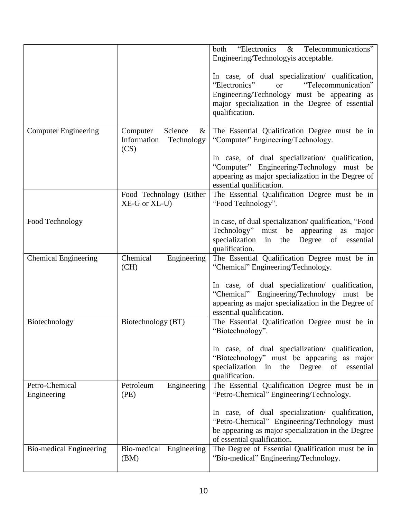|                                |                                                                  | "Electronics & Telecommunications"<br>both<br>Engineering/Technologyis acceptable.                                                                                                                                           |
|--------------------------------|------------------------------------------------------------------|------------------------------------------------------------------------------------------------------------------------------------------------------------------------------------------------------------------------------|
|                                |                                                                  | In case, of dual specialization/ qualification,<br>"Telecommunication"<br>"Electronics"<br><sub>or</sub><br>Engineering/Technology must be appearing as<br>major specialization in the Degree of essential<br>qualification. |
| <b>Computer Engineering</b>    | Science<br>Computer<br>$\&$<br>Information<br>Technology<br>(CS) | The Essential Qualification Degree must be in<br>"Computer" Engineering/Technology.                                                                                                                                          |
|                                |                                                                  | In case, of dual specialization/ qualification,<br>"Computer" Engineering/Technology must be<br>appearing as major specialization in the Degree of<br>essential qualification.                                               |
|                                | Food Technology (Either<br>XE-G or XL-U)                         | The Essential Qualification Degree must be in<br>"Food Technology".                                                                                                                                                          |
| Food Technology                |                                                                  | In case, of dual specialization/qualification, "Food<br>Technology" must be appearing as major<br>specialization in the Degree of essential<br>qualification.                                                                |
| <b>Chemical Engineering</b>    | Chemical<br>Engineering<br>(CH)                                  | The Essential Qualification Degree must be in<br>"Chemical" Engineering/Technology.                                                                                                                                          |
|                                |                                                                  | In case, of dual specialization/ qualification,<br>"Chemical" Engineering/Technology must be<br>appearing as major specialization in the Degree of<br>essential qualification.                                               |
| Biotechnology                  | Biotechnology (BT)                                               | The Essential Qualification Degree must be in<br>"Biotechnology".                                                                                                                                                            |
|                                |                                                                  | In case, of dual specialization/ qualification,<br>"Biotechnology" must be appearing as major<br>the Degree of essential<br>specialization in<br>qualification.                                                              |
| Petro-Chemical<br>Engineering  | Petroleum<br>Engineering<br>(PE)                                 | The Essential Qualification Degree must be in<br>"Petro-Chemical" Engineering/Technology.                                                                                                                                    |
|                                |                                                                  | In case, of dual specialization/ qualification,<br>"Petro-Chemical" Engineering/Technology must<br>be appearing as major specialization in the Degree<br>of essential qualification.                                         |
| <b>Bio-medical Engineering</b> | Bio-medical Engineering<br>(BM)                                  | The Degree of Essential Qualification must be in<br>"Bio-medical" Engineering/Technology.                                                                                                                                    |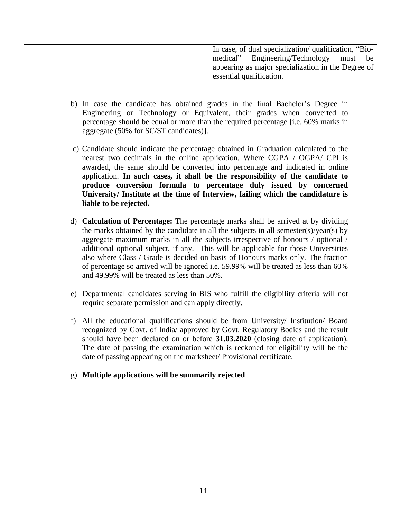| In case, of dual specialization/qualification, "Bio- |
|------------------------------------------------------|
| medical" Engineering/Technology must be              |
| appearing as major specialization in the Degree of   |
| essential qualification.                             |

- b) In case the candidate has obtained grades in the final Bachelor's Degree in Engineering or Technology or Equivalent, their grades when converted to percentage should be equal or more than the required percentage [i.e. 60% marks in aggregate (50% for SC/ST candidates)].
- c) Candidate should indicate the percentage obtained in Graduation calculated to the nearest two decimals in the online application. Where CGPA / OGPA/ CPI is awarded, the same should be converted into percentage and indicated in online application. **In such cases, it shall be the responsibility of the candidate to produce conversion formula to percentage duly issued by concerned University/ Institute at the time of Interview, failing which the candidature is liable to be rejected.**
- d) **Calculation of Percentage:** The percentage marks shall be arrived at by dividing the marks obtained by the candidate in all the subjects in all semester(s)/year(s) by aggregate maximum marks in all the subjects irrespective of honours / optional / additional optional subject, if any. This will be applicable for those Universities also where Class / Grade is decided on basis of Honours marks only. The fraction of percentage so arrived will be ignored i.e. 59.99% will be treated as less than 60% and 49.99% will be treated as less than 50%.
- e) Departmental candidates serving in BIS who fulfill the eligibility criteria will not require separate permission and can apply directly.
- f) All the educational qualifications should be from University/ Institution/ Board recognized by Govt. of India/ approved by Govt. Regulatory Bodies and the result should have been declared on or before **31.03.2020** (closing date of application). The date of passing the examination which is reckoned for eligibility will be the date of passing appearing on the marksheet/ Provisional certificate.
- g) **Multiple applications will be summarily rejected**.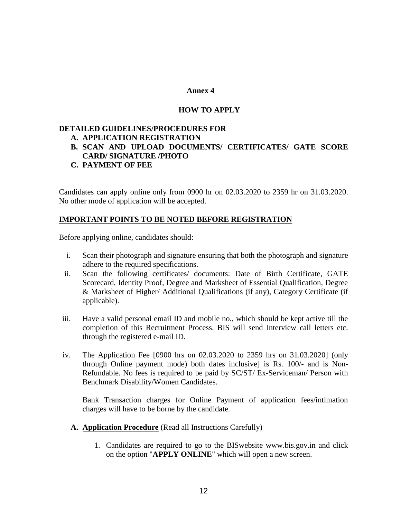### **Annex 4**

# **HOW TO APPLY**

## <span id="page-11-0"></span>**DETAILED GUIDELINES/PROCEDURES FOR**

### **A. APPLICATION REGISTRATION**

- **B. SCAN AND UPLOAD DOCUMENTS/ CERTIFICATES/ GATE SCORE CARD/ SIGNATURE /PHOTO**
- **C. PAYMENT OF FEE**

Candidates can apply online only from 0900 hr on 02.03.2020 to 2359 hr on 31.03.2020. No other mode of application will be accepted.

## **IMPORTANT POINTS TO BE NOTED BEFORE REGISTRATION**

Before applying online, candidates should:

- i. Scan their photograph and signature ensuring that both the photograph and signature adhere to the required specifications.
- ii. Scan the following certificates/ documents: Date of Birth Certificate, GATE Scorecard, Identity Proof, Degree and Marksheet of Essential Qualification, Degree & Marksheet of Higher/ Additional Qualifications (if any), Category Certificate (if applicable).
- iii. Have a valid personal email ID and mobile no., which should be kept active till the completion of this Recruitment Process. BIS will send Interview call letters etc. through the registered e-mail ID.
- iv. The Application Fee [0900 hrs on 02.03.2020 to 2359 hrs on 31.03.2020] (only through Online payment mode) both dates inclusive] is Rs. 100/- and is Non-Refundable. No fees is required to be paid by SC/ST/ Ex-Serviceman/ Person with Benchmark Disability/Women Candidates.

Bank Transaction charges for Online Payment of application fees/intimation charges will have to be borne by the candidate.

- **A. Application Procedure** (Read all Instructions Carefully)
	- 1. Candidates are required to go to the BISwebsite [www.bis.gov.in](http://www.bis.gov.in/) and click on the option "**APPLY ONLINE**" which will open a new screen.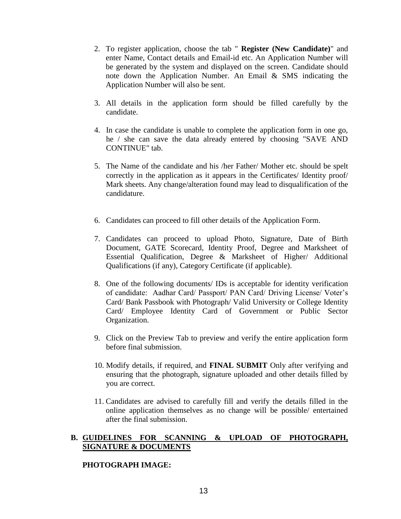- 2. To register application, choose the tab " **Register (New Candidate)**" and enter Name, Contact details and Email-id etc. An Application Number will be generated by the system and displayed on the screen. Candidate should note down the Application Number. An Email & SMS indicating the Application Number will also be sent.
- 3. All details in the application form should be filled carefully by the candidate.
- 4. In case the candidate is unable to complete the application form in one go, he / she can save the data already entered by choosing "SAVE AND CONTINUE" tab.
- 5. The Name of the candidate and his /her Father/ Mother etc. should be spelt correctly in the application as it appears in the Certificates/ Identity proof/ Mark sheets. Any change/alteration found may lead to disqualification of the candidature.
- 6. Candidates can proceed to fill other details of the Application Form.
- 7. Candidates can proceed to upload Photo, Signature, Date of Birth Document, GATE Scorecard, Identity Proof, Degree and Marksheet of Essential Qualification, Degree & Marksheet of Higher/ Additional Qualifications (if any), Category Certificate (if applicable).
- 8. One of the following documents/ IDs is acceptable for identity verification of candidate: Aadhar Card/ Passport/ PAN Card/ Driving License/ Voter's Card/ Bank Passbook with Photograph/ Valid University or College Identity Card/ Employee Identity Card of Government or Public Sector Organization.
- 9. Click on the Preview Tab to preview and verify the entire application form before final submission.
- 10. Modify details, if required, and **FINAL SUBMIT** Only after verifying and ensuring that the photograph, signature uploaded and other details filled by you are correct.
- 11. Candidates are advised to carefully fill and verify the details filled in the online application themselves as no change will be possible/ entertained after the final submission.

## **B. GUIDELINES FOR SCANNING & UPLOAD OF PHOTOGRAPH, SIGNATURE & DOCUMENTS**

### **PHOTOGRAPH IMAGE:**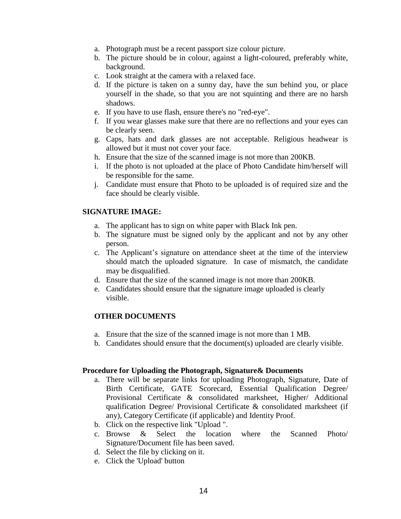- a. Photograph must be a recent passport size colour picture.
- b. The picture should be in colour, against a light-coloured, preferably white, background.
- c. Look straight at the camera with a relaxed face.
- d. If the picture is taken on a sunny day, have the sun behind you, or place yourself in the shade, so that you are not squinting and there are no harsh shadows.
- e. If you have to use flash, ensure there's no "red-eye".
- f. If you wear glasses make sure that there are no reflections and your eyes can be clearly seen.
- g. Caps, hats and dark glasses are not acceptable. Religious headwear is allowed but it must not cover your face.
- h. Ensure that the size of the scanned image is not more than 200KB.
- i. If the photo is not uploaded at the place of Photo Candidate him/herself will be responsible for the same.
- j. Candidate must ensure that Photo to be uploaded is of required size and the face should be clearly visible.

### **SIGNATURE IMAGE:**

- a. The applicant has to sign on white paper with Black Ink pen.
- b. The signature must be signed only by the applicant and not by any other person.
- c. The Applicant's signature on attendance sheet at the time of the interview should match the uploaded signature. In case of mismatch, the candidate may be disqualified.
- d. Ensure that the size of the scanned image is not more than 200KB.
- e. Candidates should ensure that the signature image uploaded is clearly visible.

#### **OTHER DOCUMENTS**

- a. Ensure that the size of the scanned image is not more than 1 MB.
- b. Candidates should ensure that the document(s) uploaded are clearly visible.

#### **Procedure for Uploading the Photograph, Signature& Documents**

- a. There will be separate links for uploading Photograph, Signature, Date of Birth Certificate, GATE Scorecard, Essential Qualification Degree/ Provisional Certificate & consolidated marksheet, Higher/ Additional qualification Degree/ Provisional Certificate & consolidated marksheet (if any), Category Certificate (if applicable) and Identity Proof.
- b. Click on the respective link "Upload ".
- c. Browse & Select the location where the Scanned Photo/ Signature/Document file has been saved.
- d. Select the file by clicking on it.
- e. Click the 'Upload' button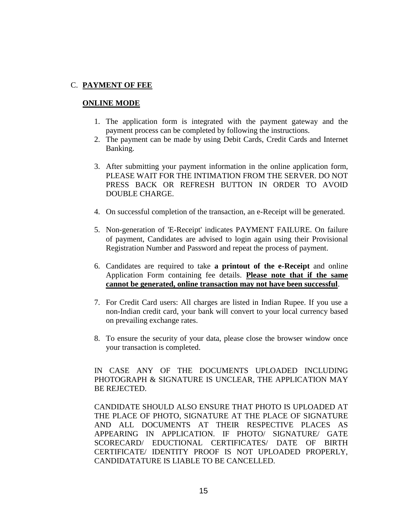## C. **PAYMENT OF FEE**

### **ONLINE MODE**

- 1. The application form is integrated with the payment gateway and the payment process can be completed by following the instructions.
- 2. The payment can be made by using Debit Cards, Credit Cards and Internet Banking.
- 3. After submitting your payment information in the online application form, PLEASE WAIT FOR THE INTIMATION FROM THE SERVER. DO NOT PRESS BACK OR REFRESH BUTTON IN ORDER TO AVOID DOUBLE CHARGE.
- 4. On successful completion of the transaction, an e-Receipt will be generated.
- 5. Non-generation of 'E-Receipt' indicates PAYMENT FAILURE. On failure of payment, Candidates are advised to login again using their Provisional Registration Number and Password and repeat the process of payment.
- 6. Candidates are required to take **a printout of the e-Receipt** and online Application Form containing fee details. **Please note that if the same cannot be generated, online transaction may not have been successful**.
- 7. For Credit Card users: All charges are listed in Indian Rupee. If you use a non-Indian credit card, your bank will convert to your local currency based on prevailing exchange rates.
- 8. To ensure the security of your data, please close the browser window once your transaction is completed.

IN CASE ANY OF THE DOCUMENTS UPLOADED INCLUDING PHOTOGRAPH & SIGNATURE IS UNCLEAR, THE APPLICATION MAY BE REJECTED.

CANDIDATE SHOULD ALSO ENSURE THAT PHOTO IS UPLOADED AT THE PLACE OF PHOTO, SIGNATURE AT THE PLACE OF SIGNATURE AND ALL DOCUMENTS AT THEIR RESPECTIVE PLACES AS APPEARING IN APPLICATION. IF PHOTO/ SIGNATURE/ GATE SCORECARD/ EDUCTIONAL CERTIFICATES/ DATE OF BIRTH CERTIFICATE/ IDENTITY PROOF IS NOT UPLOADED PROPERLY, CANDIDATATURE IS LIABLE TO BE CANCELLED.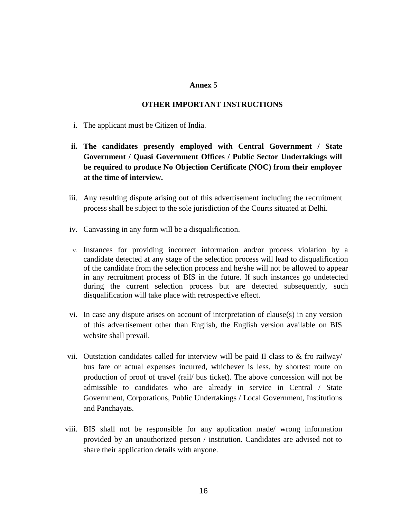### **Annex 5**

## **OTHER IMPORTANT INSTRUCTIONS**

- <span id="page-15-0"></span>i. The applicant must be Citizen of India.
- **ii. The candidates presently employed with Central Government / State Government / Quasi Government Offices / Public Sector Undertakings will be required to produce No Objection Certificate (NOC) from their employer at the time of interview.**
- iii. Any resulting dispute arising out of this advertisement including the recruitment process shall be subject to the sole jurisdiction of the Courts situated at Delhi.
- iv. Canvassing in any form will be a disqualification.
- v. Instances for providing incorrect information and/or process violation by a candidate detected at any stage of the selection process will lead to disqualification of the candidate from the selection process and he/she will not be allowed to appear in any recruitment process of BIS in the future. If such instances go undetected during the current selection process but are detected subsequently, such disqualification will take place with retrospective effect.
- vi. In case any dispute arises on account of interpretation of clause(s) in any version of this advertisement other than English, the English version available on BIS website shall prevail.
- vii. Outstation candidates called for interview will be paid II class to  $\&$  fro railway/ bus fare or actual expenses incurred, whichever is less, by shortest route on production of proof of travel (rail/ bus ticket). The above concession will not be admissible to candidates who are already in service in Central / State Government, Corporations, Public Undertakings / Local Government, Institutions and Panchayats.
- viii. BIS shall not be responsible for any application made/ wrong information provided by an unauthorized person / institution. Candidates are advised not to share their application details with anyone.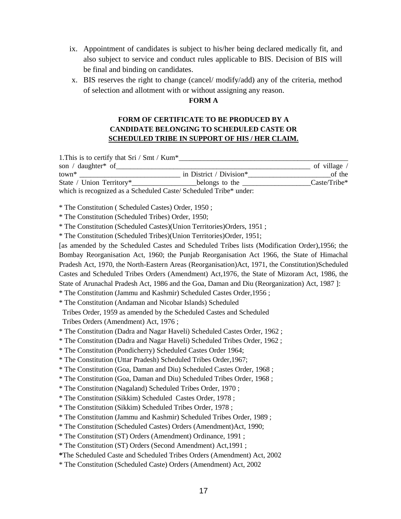- ix. Appointment of candidates is subject to his/her being declared medically fit, and also subject to service and conduct rules applicable to BIS. Decision of BIS will be final and binding on candidates.
- x. BIS reserves the right to change (cancel/ modify/add) any of the criteria, method of selection and allotment with or without assigning any reason.

#### **FORM A**

# **FORM OF CERTIFICATE TO BE PRODUCED BY A CANDIDATE BELONGING TO SCHEDULED CASTE OR SCHEDULED TRIBE IN SUPPORT OF HIS / HER CLAIM.**

1. This is to certify that  $\text{Sri} / \text{Smt} / \text{Kum}^*$ son / daughter\* of the state of village / town\* town in District / Division\* of the contract of the contract of the contract of the contract of the contract of the contract of the contract of the contract of the contract of the contract of the contract of the cont State / Union Territory\* belongs to the Caste/Tribe\* which is recognized as a Scheduled Caste/ Scheduled Tribe\* under: \* The Constitution ( Scheduled Castes) Order, 1950 ; \* The Constitution (Scheduled Tribes) Order, 1950; \* The Constitution (Scheduled Castes)(Union Territories)Orders, 1951 ; \* The Constitution (Scheduled Tribes)(Union Territories)Order, 1951; [as amended by the Scheduled Castes and Scheduled Tribes lists (Modification Order),1956; the Bombay Reorganisation Act, 1960; the Punjab Reorganisation Act 1966, the State of Himachal Pradesh Act, 1970, the North-Eastern Areas (Reorganisation)Act, 1971, the Constitution)Scheduled Castes and Scheduled Tribes Orders (Amendment) Act,1976, the State of Mizoram Act, 1986, the State of Arunachal Pradesh Act, 1986 and the Goa, Daman and Diu (Reorganization) Act, 1987 ]: \* The Constitution (Jammu and Kashmir) Scheduled Castes Order,1956 ; \* The Constitution (Andaman and Nicobar Islands) Scheduled Tribes Order, 1959 as amended by the Scheduled Castes and Scheduled Tribes Orders (Amendment) Act, 1976 ; \* The Constitution (Dadra and Nagar Haveli) Scheduled Castes Order, 1962 ; \* The Constitution (Dadra and Nagar Haveli) Scheduled Tribes Order, 1962 ; \* The Constitution (Pondicherry) Scheduled Castes Order 1964; \* The Constitution (Uttar Pradesh) Scheduled Tribes Order,1967; \* The Constitution (Goa, Daman and Diu) Scheduled Castes Order, 1968 ; \* The Constitution (Goa, Daman and Diu) Scheduled Tribes Order, 1968 ; \* The Constitution (Nagaland) Scheduled Tribes Order, 1970 ; \* The Constitution (Sikkim) Scheduled Castes Order, 1978 ; \* The Constitution (Sikkim) Scheduled Tribes Order, 1978 ; \* The Constitution (Jammu and Kashmir) Scheduled Tribes Order, 1989 ; \* The Constitution (Scheduled Castes) Orders (Amendment)Act, 1990; \* The Constitution (ST) Orders (Amendment) Ordinance, 1991 ; \* The Constitution (ST) Orders (Second Amendment) Act,1991 ; **\***The Scheduled Caste and Scheduled Tribes Orders (Amendment) Act, 2002

\* The Constitution (Scheduled Caste) Orders (Amendment) Act, 2002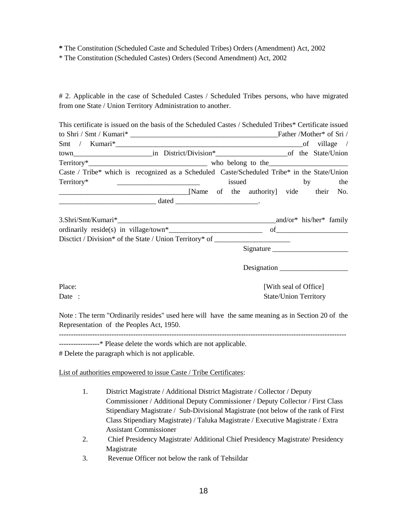**\*** The Constitution (Scheduled Caste and Scheduled Tribes) Orders (Amendment) Act, 2002

\* The Constitution (Scheduled Castes) Orders (Second Amendment) Act, 2002

# 2. Applicable in the case of Scheduled Castes / Scheduled Tribes persons, who have migrated from one State / Union Territory Administration to another.

| This certificate is issued on the basis of the Scheduled Castes / Scheduled Tribes* Certificate issued |  |                              |  |        |  |
|--------------------------------------------------------------------------------------------------------|--|------------------------------|--|--------|--|
|                                                                                                        |  |                              |  |        |  |
|                                                                                                        |  |                              |  |        |  |
|                                                                                                        |  |                              |  |        |  |
|                                                                                                        |  |                              |  |        |  |
| Caste / Tribe* which is recognized as a Scheduled Caste/Scheduled Tribe* in the State/Union            |  |                              |  |        |  |
| Territory*                                                                                             |  | issued                       |  | by the |  |
| [Name of the authority] vide their No.                                                                 |  |                              |  |        |  |
| $\begin{array}{c}\n\hline\n\end{array}$                                                                |  |                              |  |        |  |
|                                                                                                        |  |                              |  |        |  |
|                                                                                                        |  |                              |  |        |  |
| Disctict / Division* of the State / Union Territory* of ________________________                       |  |                              |  |        |  |
|                                                                                                        |  | Signature                    |  |        |  |
|                                                                                                        |  | Designation                  |  |        |  |
| Place:                                                                                                 |  | [With seal of Office]        |  |        |  |
| Date :                                                                                                 |  | <b>State/Union Territory</b> |  |        |  |

Note : The term "Ordinarily resides" used here will have the same meaning as in Section 20 of the Representation of the Peoples Act, 1950.

------------------------------------------------------------------------------------------------------------------------

-----------------\* Please delete the words which are not applicable.

# Delete the paragraph which is not applicable.

List of authorities empowered to issue Caste / Tribe Certificates:

- 1. District Magistrate / Additional District Magistrate / Collector / Deputy Commissioner / Additional Deputy Commissioner / Deputy Collector / First Class Stipendiary Magistrate / Sub-Divisional Magistrate (not below of the rank of First Class Stipendiary Magistrate) / Taluka Magistrate / Executive Magistrate / Extra Assistant Commissioner
- 2. Chief Presidency Magistrate/ Additional Chief Presidency Magistrate/ Presidency Magistrate
- 3. Revenue Officer not below the rank of Tehsildar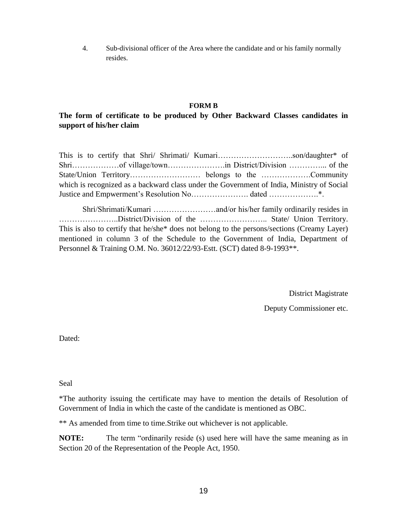4. Sub-divisional officer of the Area where the candidate and or his family normally resides.

### **FORM B**

# **The form of certificate to be produced by Other Backward Classes candidates in support of his/her claim**

This is to certify that Shri/ Shrimati/ Kumari……………………………son/daughter\* of Shri………………of village/town………………….in District/Division …………... of the State/Union Territory……………………… belongs to the ……………….Community which is recognized as a backward class under the Government of India, Ministry of Social Justice and Empwerment's Resolution No…………………. dated ……………….\*.

Shri/Shrimati/Kumari ……………………and/or his/her family ordinarily resides in …………………..District/Division of the …………………….. State/ Union Territory. This is also to certify that he/she\* does not belong to the persons/sections (Creamy Layer) mentioned in column 3 of the Schedule to the Government of India, Department of Personnel & Training O.M. No. 36012/22/93-Estt. (SCT) dated 8-9-1993\*\*.

District Magistrate

Deputy Commissioner etc.

Dated:

Seal

\*The authority issuing the certificate may have to mention the details of Resolution of Government of India in which the caste of the candidate is mentioned as OBC.

\*\* As amended from time to time.Strike out whichever is not applicable.

**NOTE:** The term "ordinarily reside (s) used here will have the same meaning as in Section 20 of the Representation of the People Act, 1950.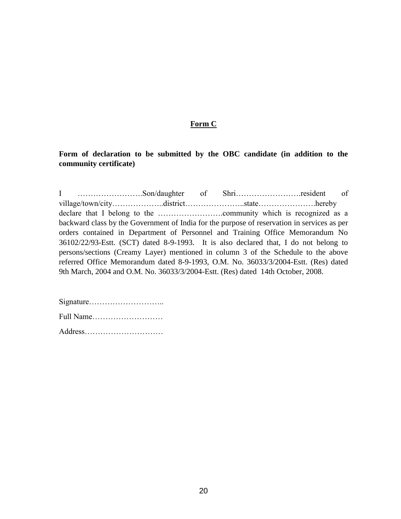## **Form C**

**Form of declaration to be submitted by the OBC candidate (in addition to the community certificate)**

I …………………….Son/daughter of Shri…………………….resident of village/town/city………………..district…………………..state………………….hereby declare that I belong to the …………………….community which is recognized as a backward class by the Government of India for the purpose of reservation in services as per orders contained in Department of Personnel and Training Office Memorandum No 36102/22/93-Estt. (SCT) dated 8-9-1993. It is also declared that, I do not belong to persons/sections (Creamy Layer) mentioned in column 3 of the Schedule to the above referred Office Memorandum dated 8-9-1993, O.M. No. 36033/3/2004-Estt. (Res) dated 9th March, 2004 and O.M. No. 36033/3/2004-Estt. (Res) dated 14th October, 2008.

Signature……………………….. Full Name……………………… Address…………………………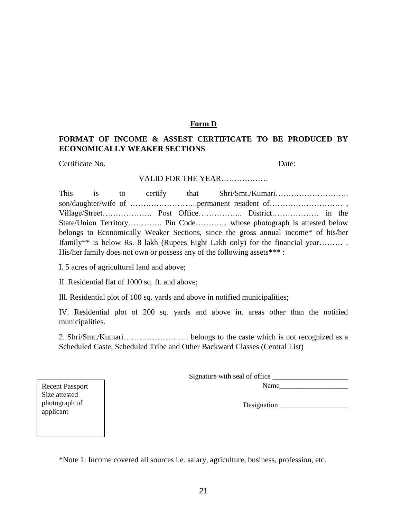### **Form D**

# **FORMAT OF INCOME & ASSEST CERTIFICATE TO BE PRODUCED BY ECONOMICALLY WEAKER SECTIONS**

Certificate No. Date:

#### VALID FOR THE YEAR………………

This is to certify that Shri/Smt./Kumari………………………. son/daughter/wife of ……………………..permanent resident of………………………. , Village/Street………………. Post Office…………….. District……………… in the State/Union Territory…………. Pin Code………… whose photograph is attested below belongs to Economically Weaker Sections, since the gross annual income\* of his/her Ifamily\*\* is below Rs. 8 lakh (Rupees Eight Lakh only) for the financial year……… . His/her family does not own or possess any of the following assets\*\*\* :

I. 5 acres of agricultural land and above;

II. Residential flat of 1000 sq. ft. and above;

Ill. Residential plot of 100 sq. yards and above in notified municipalities;

IV. Residential plot of 200 sq. yards and above in. areas other than the notified municipalities.

2. Shri/Smt./Kumari……………………. belongs to the caste which is not recognized as a Scheduled Caste, Scheduled Tribe and Other Backward Classes (Central List)

Signature with seal of office

Name

Designation \_\_\_\_\_\_\_\_\_\_\_\_\_\_\_\_\_\_\_

Recent Passport Size attested photograph of applicant

\*Note 1: Income covered all sources i.e. salary, agriculture, business, profession, etc.